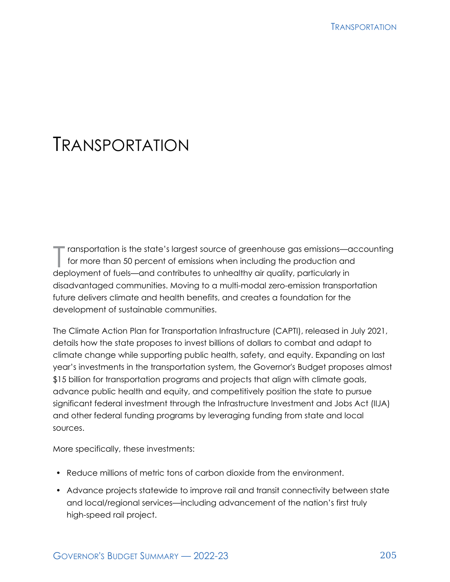# TRANSPORTATION

T ransportation is the state's largest source of greenhouse gas emissions—accounting<br>for more than 50 percent of emissions when including the production and<br>deployment of fuels, and contributes to unhaplity given which arr for more than 50 percent of emissions when including the production and deployment of fuels—and contributes to unhealthy air quality, particularly in disadvantaged communities. Moving to a multi-modal zero-emission transportation future delivers climate and health benefits, and creates a foundation for the development of sustainable communities.

The Climate Action Plan for Transportation Infrastructure (CAPTI), released in July 2021, details how the state proposes to invest billions of dollars to combat and adapt to climate change while supporting public health, safety, and equity. Expanding on last year's investments in the transportation system, the Governor's Budget proposes almost \$15 billion for transportation programs and projects that align with climate goals, advance public health and equity, and competitively position the state to pursue significant federal investment through the Infrastructure Investment and Jobs Act (IIJA) and other federal funding programs by leveraging funding from state and local sources.

More specifically, these investments:

- Reduce millions of metric tons of carbon dioxide from the environment.
- Advance projects statewide to improve rail and transit connectivity between state and local/regional services—including advancement of the nation's first truly high-speed rail project.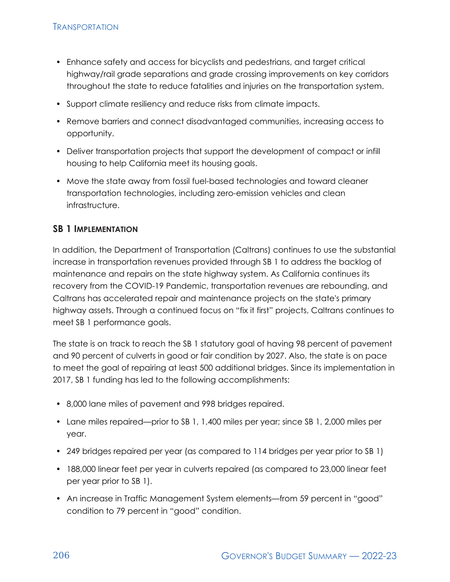- Enhance safety and access for bicyclists and pedestrians, and target critical highway/rail grade separations and grade crossing improvements on key corridors throughout the state to reduce fatalities and injuries on the transportation system.
- Support climate resiliency and reduce risks from climate impacts.
- Remove barriers and connect disadvantaged communities, increasing access to opportunity.
- Deliver transportation projects that support the development of compact or infill housing to help California meet its housing goals.
- Move the state away from fossil fuel-based technologies and toward cleaner transportation technologies, including zero-emission vehicles and clean infrastructure.

### **SB 1 IMPLEMENTATION**

In addition, the Department of Transportation (Caltrans) continues to use the substantial increase in transportation revenues provided through SB 1 to address the backlog of maintenance and repairs on the state highway system. As California continues its recovery from the COVID-19 Pandemic, transportation revenues are rebounding, and Caltrans has accelerated repair and maintenance projects on the state's primary highway assets. Through a continued focus on "fix it first" projects, Caltrans continues to meet SB 1 performance goals.

The state is on track to reach the SB 1 statutory goal of having 98 percent of pavement and 90 percent of culverts in good or fair condition by 2027. Also, the state is on pace to meet the goal of repairing at least 500 additional bridges. Since its implementation in 2017, SB 1 funding has led to the following accomplishments:

- 8,000 lane miles of pavement and 998 bridges repaired.
- Lane miles repaired—prior to SB 1, 1,400 miles per year; since SB 1, 2,000 miles per year.
- 249 bridges repaired per year (as compared to 114 bridges per year prior to SB 1)
- 188,000 linear feet per year in culverts repaired (as compared to 23,000 linear feet per year prior to SB 1).
- An increase in Traffic Management System elements—from 59 percent in "good" condition to 79 percent in "good" condition.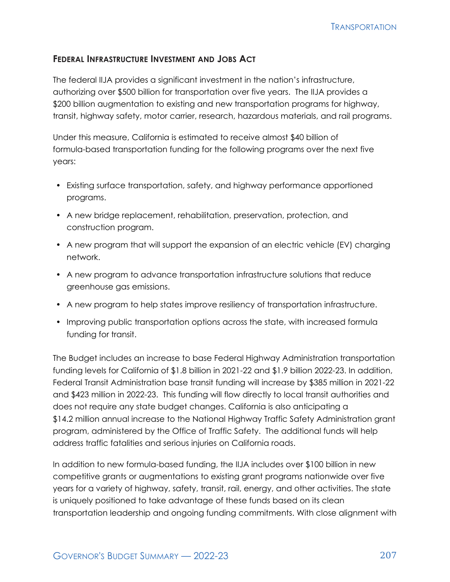#### **FEDERAL INFRASTRUCTURE INVESTMENT AND JOBS ACT**

The federal IIJA provides a significant investment in the nation's infrastructure, authorizing over \$500 billion for transportation over five years. The IIJA provides a \$200 billion augmentation to existing and new transportation programs for highway, transit, highway safety, motor carrier, research, hazardous materials, and rail programs.

Under this measure, California is estimated to receive almost \$40 billion of formula-based transportation funding for the following programs over the next five years:

- Existing surface transportation, safety, and highway performance apportioned programs.
- A new bridge replacement, rehabilitation, preservation, protection, and construction program.
- A new program that will support the expansion of an electric vehicle (EV) charging network.
- A new program to advance transportation infrastructure solutions that reduce greenhouse gas emissions.
- A new program to help states improve resiliency of transportation infrastructure.
- Improving public transportation options across the state, with increased formula funding for transit.

The Budget includes an increase to base Federal Highway Administration transportation funding levels for California of \$1.8 billion in 2021-22 and \$1.9 billion 2022-23. In addition, Federal Transit Administration base transit funding will increase by \$385 million in 2021-22 and \$423 million in 2022-23. This funding will flow directly to local transit authorities and does not require any state budget changes. California is also anticipating a \$14.2 million annual increase to the National Highway Traffic Safety Administration grant program, administered by the Office of Traffic Safety. The additional funds will help address traffic fatalities and serious injuries on California roads.

In addition to new formula-based funding, the IIJA includes over \$100 billion in new competitive grants or augmentations to existing grant programs nationwide over five years for a variety of highway, safety, transit, rail, energy, and other activities. The state is uniquely positioned to take advantage of these funds based on its clean transportation leadership and ongoing funding commitments. With close alignment with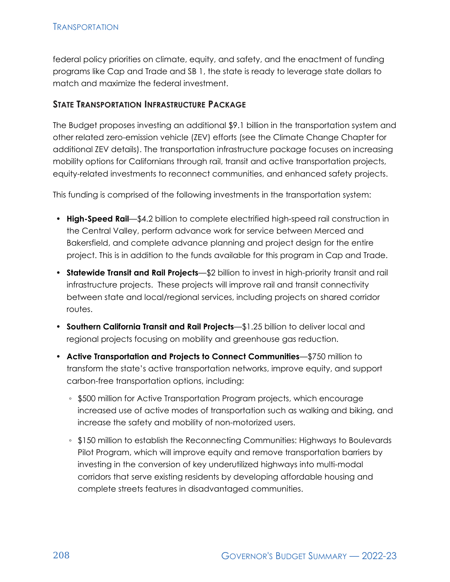federal policy priorities on climate, equity, and safety, and the enactment of funding programs like Cap and Trade and SB 1, the state is ready to leverage state dollars to match and maximize the federal investment.

#### **STATE TRANSPORTATION INFRASTRUCTURE PACKAGE**

The Budget proposes investing an additional \$9.1 billion in the transportation system and other related zero-emission vehicle (ZEV) efforts (see the Climate Change Chapter for additional ZEV details). The transportation infrastructure package focuses on increasing mobility options for Californians through rail, transit and active transportation projects, equity-related investments to reconnect communities, and enhanced safety projects.

This funding is comprised of the following investments in the transportation system:

- **High-Speed Rail**—\$4.2 billion to complete electrified high-speed rail construction in the Central Valley, perform advance work for service between Merced and Bakersfield, and complete advance planning and project design for the entire project. This is in addition to the funds available for this program in Cap and Trade.
- **Statewide Transit and Rail Projects**—\$2 billion to invest in high-priority transit and rail infrastructure projects. These projects will improve rail and transit connectivity between state and local/regional services, including projects on shared corridor routes.
- **Southern California Transit and Rail Projects**—\$1.25 billion to deliver local and regional projects focusing on mobility and greenhouse gas reduction.
- **Active Transportation and Projects to Connect Communities**—\$750 million to transform the state's active transportation networks, improve equity, and support carbon-free transportation options, including:
	- \$500 million for Active Transportation Program projects, which encourage increased use of active modes of transportation such as walking and biking, and increase the safety and mobility of non-motorized users.
	- \$150 million to establish the Reconnecting Communities: Highways to Boulevards Pilot Program, which will improve equity and remove transportation barriers by investing in the conversion of key underutilized highways into multi-modal corridors that serve existing residents by developing affordable housing and complete streets features in disadvantaged communities.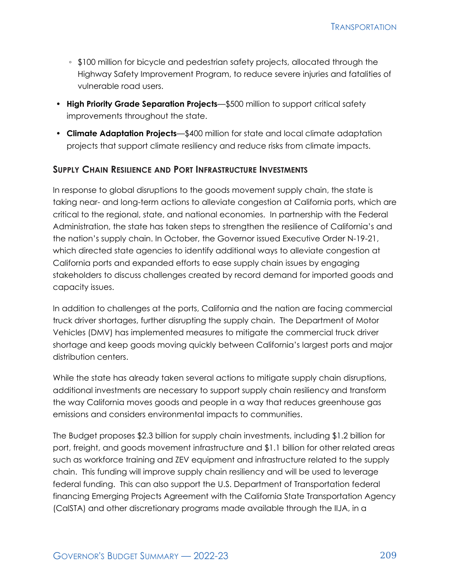- \$100 million for bicycle and pedestrian safety projects, allocated through the Highway Safety Improvement Program, to reduce severe injuries and fatalities of vulnerable road users.
- **High Priority Grade Separation Projects**—\$500 million to support critical safety improvements throughout the state.
- **Climate Adaptation Projects**—\$400 million for state and local climate adaptation projects that support climate resiliency and reduce risks from climate impacts.

#### **SUPPLY CHAIN RESILIENCE AND PORT INFRASTRUCTURE INVESTMENTS**

In response to global disruptions to the goods movement supply chain, the state is taking near- and long-term actions to alleviate congestion at California ports, which are critical to the regional, state, and national economies. In partnership with the Federal Administration, the state has taken steps to strengthen the resilience of California's and the nation's supply chain. In October, the Governor issued Executive Order N-19-21, which directed state agencies to identify additional ways to alleviate congestion at California ports and expanded efforts to ease supply chain issues by engaging stakeholders to discuss challenges created by record demand for imported goods and capacity issues.

In addition to challenges at the ports, California and the nation are facing commercial truck driver shortages, further disrupting the supply chain. The Department of Motor Vehicles (DMV) has implemented measures to mitigate the commercial truck driver shortage and keep goods moving quickly between California's largest ports and major distribution centers.

While the state has already taken several actions to mitigate supply chain disruptions, additional investments are necessary to support supply chain resiliency and transform the way California moves goods and people in a way that reduces greenhouse gas emissions and considers environmental impacts to communities.

The Budget proposes \$2.3 billion for supply chain investments, including \$1.2 billion for port, freight, and goods movement infrastructure and \$1.1 billion for other related areas such as workforce training and ZEV equipment and infrastructure related to the supply chain. This funding will improve supply chain resiliency and will be used to leverage federal funding. This can also support the U.S. Department of Transportation federal financing Emerging Projects Agreement with the California State Transportation Agency (CalSTA) and other discretionary programs made available through the IIJA, in a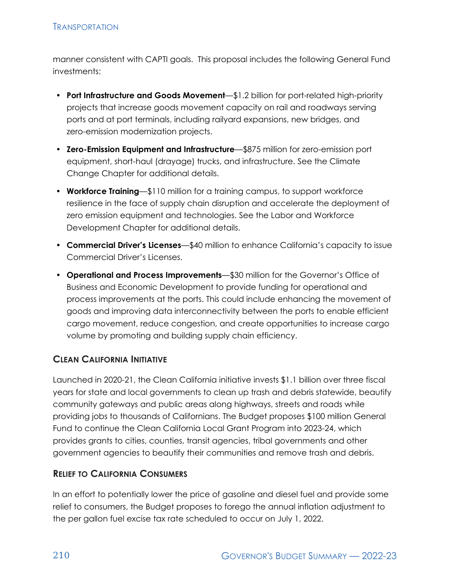manner consistent with CAPTI goals. This proposal includes the following General Fund investments:

- **Port Infrastructure and Goods Movement**—\$1.2 billion for port-related high-priority projects that increase goods movement capacity on rail and roadways serving ports and at port terminals, including railyard expansions, new bridges, and zero-emission modernization projects.
- **Zero-Emission Equipment and Infrastructure**—\$875 million for zero-emission port equipment, short-haul (drayage) trucks, and infrastructure. See the Climate Change Chapter for additional details.
- **Workforce Training**—\$110 million for a training campus, to support workforce resilience in the face of supply chain disruption and accelerate the deployment of zero emission equipment and technologies. See the Labor and Workforce Development Chapter for additional details.
- **Commercial Driver's Licenses**—\$40 million to enhance California's capacity to issue Commercial Driver's Licenses.
- **Operational and Process Improvements**—\$30 million for the Governor's Office of Business and Economic Development to provide funding for operational and process improvements at the ports. This could include enhancing the movement of goods and improving data interconnectivity between the ports to enable efficient cargo movement, reduce congestion, and create opportunities to increase cargo volume by promoting and building supply chain efficiency.

## **CLEAN CALIFORNIA INITIATIVE**

Launched in 2020-21, the Clean California initiative invests \$1.1 billion over three fiscal years for state and local governments to clean up trash and debris statewide, beautify community gateways and public areas along highways, streets and roads while providing jobs to thousands of Californians. The Budget proposes \$100 million General Fund to continue the Clean California Local Grant Program into 2023-24, which provides grants to cities, counties, transit agencies, tribal governments and other government agencies to beautify their communities and remove trash and debris.

## **RELIEF TO CALIFORNIA CONSUMERS**

In an effort to potentially lower the price of gasoline and diesel fuel and provide some relief to consumers, the Budget proposes to forego the annual inflation adjustment to the per gallon fuel excise tax rate scheduled to occur on July 1, 2022.